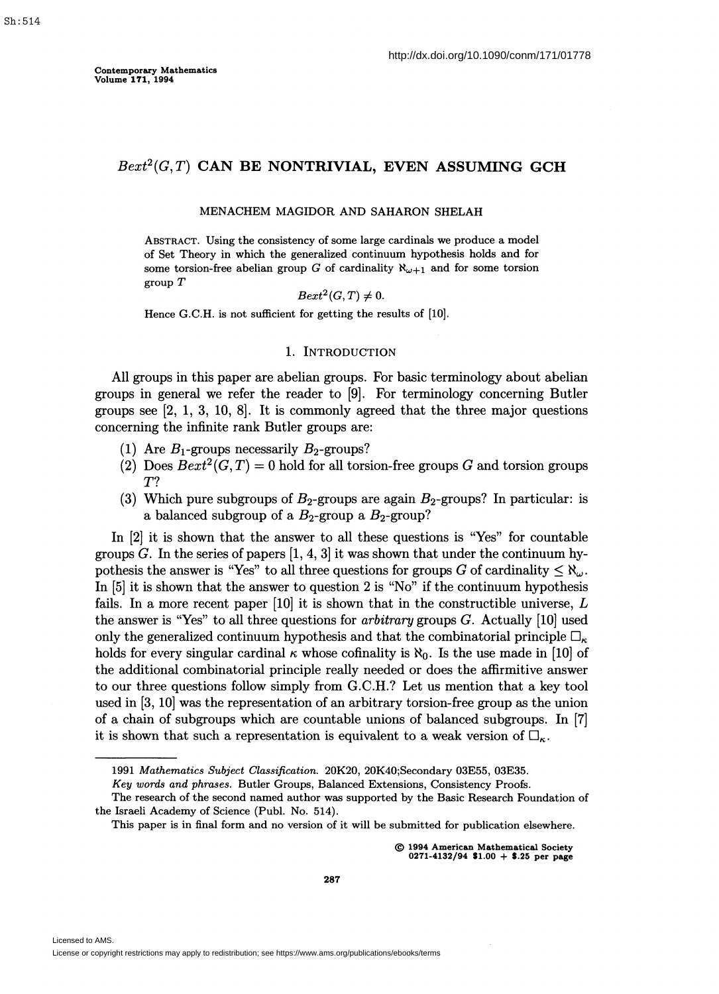# $Bext^2(G,T)$  CAN BE NONTRIVIAL, EVEN ASSUMING GCH

#### MENACHEM MAGIDOR AND SAHARON SHELAH

ABSTRACT. Using the consistency of some large cardinals we produce a model of Set Theory in which the generalized continuum hypothesis holds and for some torsion-free abelian group *G* of cardinality  $\aleph_{\omega+1}$  and for some torsion group *T* 

$$
Bext^2(G,T)\neq 0.
$$

Hence G.C.H. is not sufficient for getting the results of [10).

### 1. INTRODUCTION

All groups in this paper are abelian groups. For basic terminology about abelian groups in general we refer the reader to [9]. For terminology concerning Butler groups see  $[2, 1, 3, 10, 8]$ . It is commonly agreed that the three major questions concerning the infinite rank Butler groups are:

- (1) Are  $B_1$ -groups necessarily  $B_2$ -groups?
- (2) Does  $Bext^2(G,T) = 0$  hold for all torsion-free groups G and torsion groups *T?*
- (3) Which pure subgroups of  $B_2$ -groups are again  $B_2$ -groups? In particular: is a balanced subgroup of a  $B_2$ -group a  $B_2$ -group?

In [2] it is shown that the answer to all these questions is "Yes" for countable groups  $G$ . In the series of papers  $[1, 4, 3]$  it was shown that under the continuum hypothesis the answer is "Yes" to all three questions for groups *G* of cardinality  $\leq \aleph_{\omega}$ . In [5] it is shown that the answer to question 2 is "No" if the continuum hypothesis fails. In a more recent paper [10] it is shown that in the constructible universe, *L*  the answer is "Yes" to all three questions for *arbitrary* groups *G.* Actually [10] used only the generalized continuum hypothesis and that the combinatorial principle  $\Box_{\kappa}$ holds for every singular cardinal  $\kappa$  whose cofinality is  $\aleph_0$ . Is the use made in [10] of the additional combinatorial principle really needed or does the affirmitive answer to our three questions follow simply from G.C.H.? Let us mention that a key tool used in [3, 10] was the representation of an arbitrary torsion-free group *as* the union of a chain of subgroups which are countable unions of balanced subgroups. In [7] it is shown that such a representation is equivalent to a weak version of  $\square_{\kappa}$ .

*Key words and phrases.* Butler Groups, Balanced Extensions, Consistency Proofs.

© 1994 American Mathematical Society  $0271-4132/94$  \$1.00 + \$.25 per page

<sup>1991</sup> *Mathematics Subject Classification.* 20K20, 20K40;Secondary 03E55, 03E35.

The research of the second named author was supported by the Basic Research Foundation of the Israeli Academy of Science (Publ. No. 514).

This paper is in final form and no version of it will be submitted for publication elsewhere.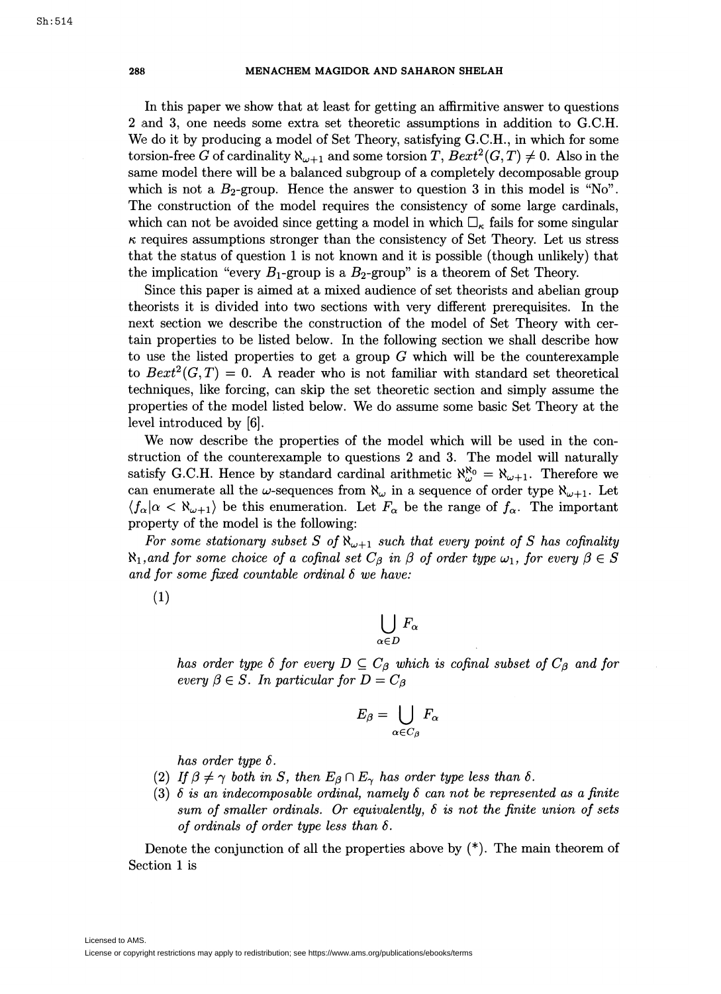In this paper we show that at least for getting an affirmitive answer to questions 2 and 3, one needs some extra set theoretic assumptions in addition to G.C.H. We do it by producing a model of Set Theory, satisfying G.C.H., in which for some torsion-free *G* of cardinality  $\aleph_{\omega+1}$  and some torsion *T*,  $Bext^2(G,T) \neq 0$ . Also in the same model there will be a balanced subgroup of a completely decomposable group which is not a  $B_2$ -group. Hence the answer to question 3 in this model is "No". The construction of the model requires the consistency of some large cardinals, which can not be avoided since getting a model in which  $\Box_{\kappa}$  fails for some singular  $\kappa$  requires assumptions stronger than the consistency of Set Theory. Let us stress that the status of question 1 is not known and it is possible (though unlikely) that the implication "every  $B_1$ -group is a  $B_2$ -group" is a theorem of Set Theory.

Since this paper is aimed at a mixed audience of set theorists and abelian group theorists it is divided into two sections with very different prerequisites. In the next section we describe the construction of the model of Set Theory with certain properties to be listed below. In the following section we shall describe how to use the listed properties to get a group *G* which will be the counterexample to  $Bext^2(G,T) = 0$ . A reader who is not familiar with standard set theoretical techniques, like forcing, can skip the set theoretic section and simply assume the properties of the model listed below. We do assume some basic Set Theory at the level introduced by [6].

We now describe the properties of the model which will be used in the construction of the counterexample to questions 2 and 3. The model will naturally satisfy G.C.H. Hence by standard cardinal arithmetic  $\aleph_{\omega}^{\aleph_0} = \aleph_{\omega+1}$ . Therefore we can enumerate all the w-sequences from  $\aleph_{\omega}$  in a sequence of order type  $\aleph_{\omega+1}$ . Let  $\langle f_{\alpha} | \alpha \langle \aleph_{\omega+1} \rangle$  be this enumeration. Let  $F_{\alpha}$  be the range of  $f_{\alpha}$ . The important property of the model is the following:

For some stationary subset S of  $\aleph_{\omega+1}$  such that every point of S has cofinality  $\aleph_1$ , and for some choice of a cofinal set  $C_\beta$  in  $\beta$  of order type  $\omega_1$ , for every  $\beta \in S$ *and for some fixed countable ordinal 8 we have:* 

(1)

$$
\bigcup_{\alpha\in D}F_\alpha
$$

*has order type*  $\delta$  *for every*  $D \subseteq C_\beta$  *which is cofinal subset of*  $C_\beta$  *and for every*  $\beta \in S$ . In particular for  $D = C_{\beta}$ 

$$
E_{\beta} = \bigcup_{\alpha \in C_{\beta}} F_{\alpha}
$$

*has order type 8.* 

- (2) If  $\beta \neq \gamma$  both in S, then  $E_{\beta} \cap E_{\gamma}$  has order type less than  $\delta$ .
- (3)  $\delta$  is an indecomposable ordinal, namely  $\delta$  can not be represented as a finite *sum of smaller ordinals. Or equivalently, 8 is not the finite union of sets of ordinals of order type less than 8.*

Denote the conjunction of all the properties above by  $(*)$ . The main theorem of Section 1 is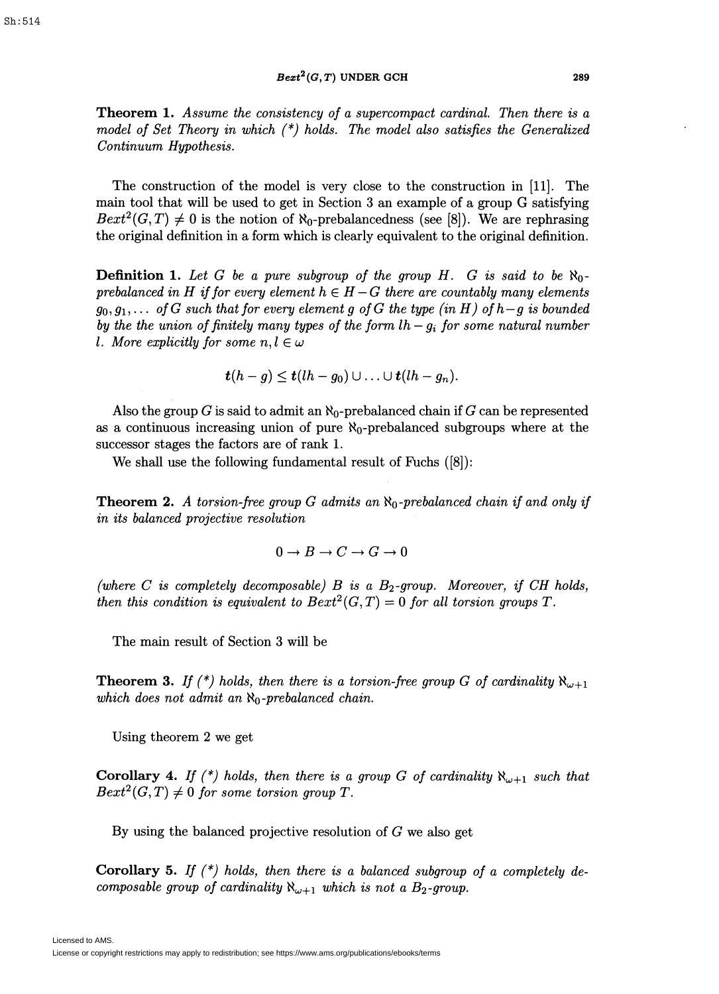$Bext^2(G, T)$  UNDER GCH 289

Theorem 1. *Assume the consistency of a supercompact cardinal. Then there is a model of Set Theory in which {\*) holds. The model also satisfies the Generalized Continuum Hypothesis.* 

The construction of the model is very close to the construction in [11]. The main tool that will be used to get in Section 3 an example of a group G satisfying  $Bext^2(G,T) \neq 0$  is the notion of  $\aleph_0$ -prebalancedness (see [8]). We are rephrasing the original definition in a form which is clearly equivalent to the original definition.

**Definition 1.** Let G be a pure subgroup of the group H. G is said to be  $\aleph_0$ *prebalanced in H if for every element*  $h \in H - G$  *there are countably many elements*  $g_0, g_1, \ldots$  of G such that for every element g of G the type (in H) of  $h-g$  is bounded *by the the union of finitely many types of the form*  $lh-g_i$  *for some natural number l. More explicitly for some*  $n, l \in \omega$ 

$$
t(h-g) \leq t(lh-g_0) \cup \ldots \cup t(lh-g_n).
$$

Also the group *G* is said to admit an  $\aleph_0$ -prebalanced chain if *G* can be represented as a continuous increasing union of pure  $\aleph_0$ -prebalanced subgroups where at the successor stages the factors are of rank 1.

We shall use the following fundamental result of Fuchs ([8]):

Theorem 2. *A torsion-free group G admits an No-prebalanced chain if and only if in its balanced projective resolution* 

$$
0 \to B \to C \to G \to 0
$$

*{where C is completely decomposable) B is a B2-group. Moreover, if CH holds, then this condition is equivalent to*  $Bext^2(G,T) = 0$  *for all torsion groups T.* 

The main result of Section 3 will be

**Theorem 3.** *If*  $(*)$  holds, then there is a torsion-free group G of cardinality  $\aleph_{\omega+1}$ *which does not admit an*  $\aleph_0$ -prebalanced chain.

Using theorem 2 we get

**Corollary 4.** If  $(*)$  holds, then there is a group G of cardinality  $\aleph_{\omega+1}$  such that  $Bext^2(G,T) \neq 0$  *for some torsion group T.* 

By using the balanced projective resolution of *G* we also get

Corollary 5. *If (\*) holds, then there is a balanced subgroup of a completely decomposable group of cardinality*  $\aleph_{\omega+1}$  *which is not a B*<sub>2</sub>-group.

Licensed to AMS.

License or copyright restrictions may apply to redistribution; see https://www.ams.org/publications/ebooks/terms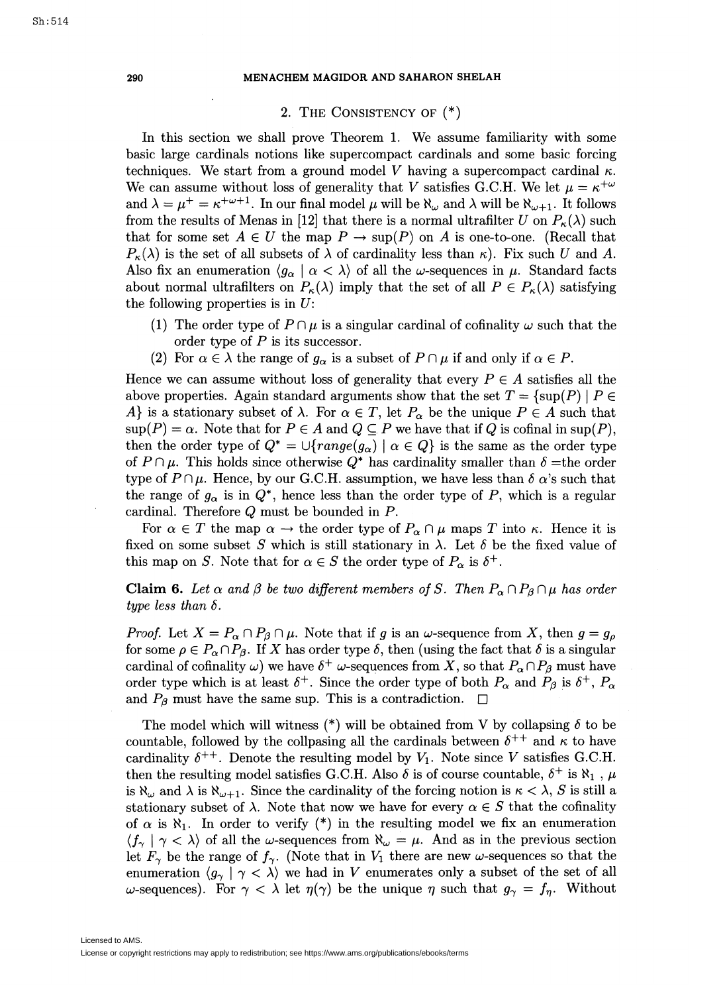## 2. THE CONSISTENCY OF (\*)

In this section we shall prove Theorem 1. We assume familiarity with some basic large cardinals notions like supercompact cardinals and some basic forcing techniques. We start from a ground model V having a supercompact cardinal  $\kappa$ . We can assume without loss of generality that *V* satisfies G.C.H. We let  $\mu = \kappa^{+\omega}$ and  $\lambda = \mu^+ = \kappa^{+\omega+1}$ . In our final model  $\mu$  will be  $\aleph_{\omega}$  and  $\lambda$  will be  $\aleph_{\omega+1}$ . It follows from the results of Menas in [12] that there is a normal ultrafilter *U* on  $P_{\kappa}(\lambda)$  such that for some set  $A \in U$  the map  $P \to \text{sup}(P)$  on *A* is one-to-one. (Recall that  $P_{\kappa}(\lambda)$  is the set of all subsets of  $\lambda$  of cardinality less than  $\kappa$ ). Fix such *U* and *A*. Also fix an enumeration  $\langle g_{\alpha} | \alpha \langle \lambda \rangle$  of all the w-sequences in  $\mu$ . Standard facts about normal ultrafilters on  $P_{\kappa}(\lambda)$  imply that the set of all  $P \in P_{\kappa}(\lambda)$  satisfying the following properties is in  $U$ :

- (1) The order type of  $P \cap \mu$  is a singular cardinal of cofinality  $\omega$  such that the order type of *P* is its successor.
- (2) For  $\alpha \in \lambda$  the range of  $g_{\alpha}$  is a subset of  $P \cap \mu$  if and only if  $\alpha \in P$ .

Hence we can assume without loss of generality that every  $P \in A$  satisfies all the above properties. Again standard arguments show that the set  $T = \{ \sup(P) \mid P \in$ A} is a stationary subset of  $\lambda$ . For  $\alpha \in T$ , let  $P_{\alpha}$  be the unique  $P \in A$  such that  $\sup(P) = \alpha$ . Note that for  $P \in A$  and  $Q \subseteq P$  we have that if *Q* is cofinal in  $\sup(P)$ , then the order type of  $Q^* = \bigcup \{range(g_\alpha) \mid \alpha \in Q\}$  is the same as the order type of  $P \cap \mu$ . This holds since otherwise  $Q^*$  has cardinality smaller than  $\delta$  =the order type of  $P \cap \mu$ . Hence, by our G.C.H. assumption, we have less than  $\delta \alpha$ 's such that the range of  $g_{\alpha}$  is in  $Q^*$ , hence less than the order type of *P*, which is a regular cardinal. Therefore *Q* must be bounded in *P.* 

For  $\alpha \in T$  the map  $\alpha \to$  the order type of  $P_\alpha \cap \mu$  maps *T* into  $\kappa$ . Hence it is fixed on some subset *S* which is still stationary in  $\lambda$ . Let  $\delta$  be the fixed value of this map on *S*. Note that for  $\alpha \in S$  the order type of  $P_{\alpha}$  is  $\delta^{+}$ .

**Claim 6.** Let  $\alpha$  and  $\beta$  be two different members of S. Then  $P_{\alpha} \cap P_{\beta} \cap \mu$  has order *type less than*  $\delta$ *.* 

*Proof.* Let  $X = P_\alpha \cap P_\beta \cap \mu$ . Note that if *g* is an  $\omega$ -sequence from *X*, then  $g = g_\rho$ for some  $\rho \in P_\alpha \cap P_\beta$ . If *X* has order type  $\delta$ , then (using the fact that  $\delta$  is a singular cardinal of cofinality  $\omega$ ) we have  $\delta^+$   $\omega$ -sequences from *X*, so that  $P_\alpha \cap P_\beta$  must have order type which is at least  $\delta^+$ . Since the order type of both  $P_\alpha$  and  $P_\beta$  is  $\delta^+$ ,  $P_\alpha$ . and  $P_\beta$  must have the same sup. This is a contradiction.  $\Box$ 

The model which will witness  $(*)$  will be obtained from V by collapsing  $\delta$  to be countable, followed by the collpasing all the cardinals between  $\delta^{++}$  and  $\kappa$  to have cardinality  $\delta^{++}$ . Denote the resulting model by  $V_1$ . Note since *V* satisfies G.C.H. then the resulting model satisfies G.C.H. Also  $\delta$  is of course countable,  $\delta^+$  is  $\aleph_1$  ,  $\mu$ is  $\aleph_{\omega}$  and  $\lambda$  is  $\aleph_{\omega+1}$ . Since the cardinality of the forcing notion is  $\kappa < \lambda$ , S is still a stationary subset of  $\lambda$ . Note that now we have for every  $\alpha \in S$  that the cofinality of  $\alpha$  is  $\aleph_1$ . In order to verify (\*) in the resulting model we fix an enumeration  $\langle f_{\gamma} | \gamma \langle \lambda \rangle$  of all the *w*-sequences from  $\aleph_{\omega} = \mu$ . And as in the previous section let  $F_{\gamma}$  be the range of  $f_{\gamma}$ . (Note that in  $V_1$  there are new  $\omega$ -sequences so that the enumeration  $\langle g_{\gamma} | \gamma \langle \lambda \rangle$  we had in *V* enumerates only a subset of the set of all w-sequences). For  $\gamma < \lambda$  let  $\eta(\gamma)$  be the unique  $\eta$  such that  $g_{\gamma} = f_{\eta}$ . Without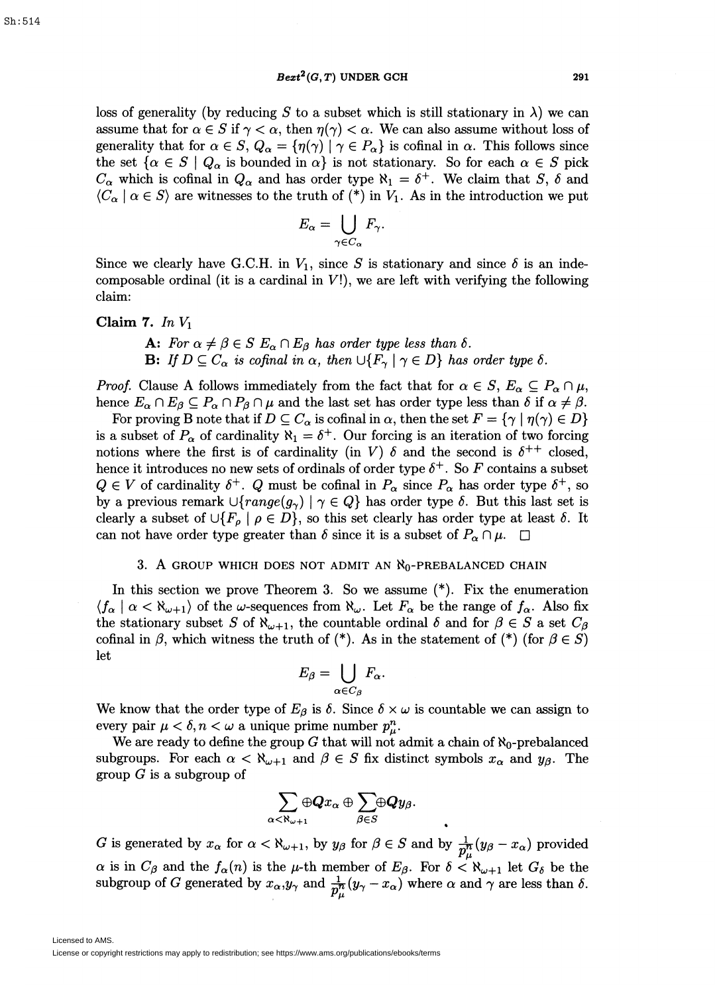$Bext^2(G, T)$  UNDER GCH 291

loss of generality (by reducing *S* to a subset which is still stationary in  $\lambda$ ) we can assume that for  $\alpha \in S$  if  $\gamma < \alpha$ , then  $\eta(\gamma) < \alpha$ . We can also assume without loss of generality that for  $\alpha \in S$ ,  $Q_{\alpha} = {\eta(\gamma) \mid \gamma \in P_{\alpha}}$  is cofinal in  $\alpha$ . This follows since the set  $\{\alpha \in S \mid Q_{\alpha} \text{ is bounded in } \alpha\}$  is not stationary. So for each  $\alpha \in S$  pick  $C_{\alpha}$  which is cofinal in  $Q_{\alpha}$  and has order type  $\aleph_1 = \delta^+$ . We claim that *S*,  $\delta$  and  $\langle C_\alpha \mid \alpha \in S \rangle$  are witnesses to the truth of  $(*)$  in  $V_1$ . As in the introduction we put

$$
E_{\alpha} = \bigcup_{\gamma \in C_{\alpha}} F_{\gamma}.
$$

Since we clearly have G.C.H. in  $V_1$ , since S is stationary and since  $\delta$  is an indecomposable ordinal (it is a cardinal in  $V!$ ), we are left with verifying the following claim:

## Claim 7. *In* Vi

A: *For*  $\alpha \neq \beta \in S$   $E_{\alpha} \cap E_{\beta}$  has order type less than  $\delta$ . **B:** *If*  $D \subseteq C_\alpha$  *is cofinal in*  $\alpha$ , *then*  $\bigcup \{F_\gamma \mid \gamma \in D\}$  *has order type*  $\delta$ *.* 

*Proof.* Clause A follows immediately from the fact that for  $\alpha \in S$ ,  $E_{\alpha} \subseteq P_{\alpha} \cap \mu$ , hence  $E_{\alpha} \cap E_{\beta} \subseteq P_{\alpha} \cap P_{\beta} \cap \mu$  and the last set has order type less than  $\delta$  if  $\alpha \neq \beta$ .

For proving B note that if  $D \subseteq C_\alpha$  is cofinal in  $\alpha$ , then the set  $F = {\gamma \mid \eta(\gamma) \in D}$ is a subset of  $P_{\alpha}$  of cardinality  $\aleph_1 = \delta^+$ . Our forcing is an iteration of two forcing notions where the first is of cardinality (in *V*)  $\delta$  and the second is  $\delta^{++}$  closed, hence it introduces no new sets of ordinals of order type  $\delta^+$ . So F contains a subset  $Q \in V$  of cardinality  $\delta^+$ . *Q* must be cofinal in  $P_\alpha$  since  $P_\alpha$  has order type  $\delta^+$ , so by a previous remark  $\cup \{range(g_{\gamma}) \mid \gamma \in Q\}$  has order type  $\delta$ . But this last set is clearly a subset of  $\cup \{F_{\rho} \mid \rho \in D\}$ , so this set clearly has order type at least  $\delta$ . It can not have order type greater than  $\delta$  since it is a subset of  $P_\alpha \cap \mu$ .  $\square$ 

## 3. A GROUP WHICH DOES NOT ADMIT AN  $\aleph_0$ -PREBALANCED CHAIN

In this section we prove Theorem 3. So we assume (\*). Fix the enumeration  $\langle f_\alpha | \alpha < \aleph_{\omega+1} \rangle$  of the  $\omega$ -sequences from  $\aleph_\omega$ . Let  $F_\alpha$  be the range of  $f_\alpha$ . Also fix the stationary subset *S* of  $\aleph_{\omega+1}$ , the countable ordinal *δ* and for  $\beta \in S$  a set  $C_{\beta}$ cofinal in  $\beta$ , which witness the truth of (\*). As in the statement of (\*) (for  $\beta \in S$ ) let

$$
E_{\beta} = \bigcup_{\alpha \in C_{\beta}} F_{\alpha}.
$$

We know that the order type of  $E_\beta$  is  $\delta$ . Since  $\delta \times \omega$  is countable we can assign to every pair  $\mu < \delta, n < \omega$  a unique prime number  $p_{\mu}^{n}$ .

We are ready to define the group  $G$  that will not admit a chain of  $\aleph_0$ -prebalanced subgroups. For each  $\alpha < \aleph_{\omega+1}$  and  $\beta \in S$  fix distinct symbols  $x_{\alpha}$  and  $y_{\beta}$ . The group *G* is a subgroup of

$$
\sum_{\alpha<\aleph_{\omega+1}}\oplus \boldsymbol{Q} x_{\alpha} \oplus \sum_{\beta\in S}\!\! \oplus \boldsymbol{Q} y_{\beta}.
$$

*G* is generated by  $x_{\alpha}$  for  $\alpha < \aleph_{\omega+1}$ , by  $y_{\beta}$  for  $\beta \in S$  and by  $\frac{1}{p^n_{\alpha}}(y_{\beta} - x_{\alpha})$  provided  $\alpha$  is in  $C_{\beta}$  and the  $f_{\alpha}(n)$  is the  $\mu$ -th member of  $E_{\beta}$ . For  $\delta < \aleph_{\omega+1}$  let  $G_{\delta}$  be the subgroup of *G* generated by  $x_{\alpha}, y_{\gamma}$  and  $\frac{1}{p_{\mu}^{n}}(y_{\gamma}-x_{\alpha})$  where  $\alpha$  and  $\gamma$  are less than  $\delta$ .

Licensed to AMS.

License or copyright restrictions may apply to redistribution; see https://www.ams.org/publications/ebooks/terms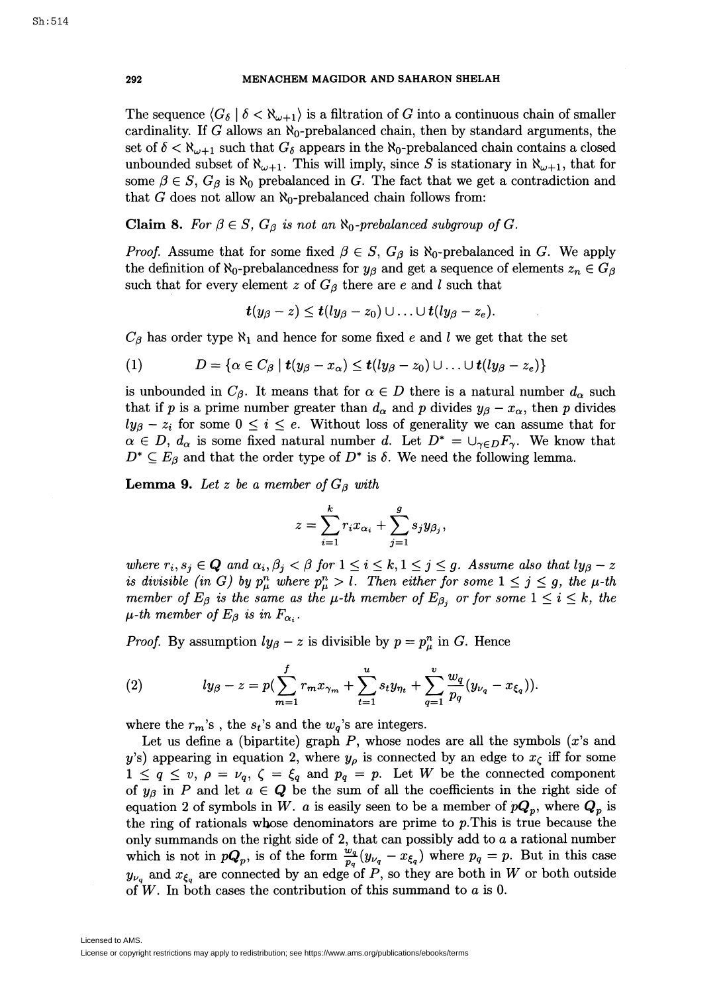The sequence  $\langle G_{\delta} | \delta \langle \mathbb{R}_{\omega+1} \rangle$  is a filtration of *G* into a continuous chain of smaller cardinality. If  $G$  allows an  $\aleph_0$ -prebalanced chain, then by standard arguments, the set of  $\delta < \aleph_{\omega+1}$  such that  $G_{\delta}$  appears in the  $\aleph_0$ -prebalanced chain contains a closed unbounded subset of  $\aleph_{\omega+1}$ . This will imply, since *S* is stationary in  $\aleph_{\omega+1}$ , that for some  $\beta \in S$ ,  $G_{\beta}$  is  $\aleph_0$  prebalanced in *G*. The fact that we get a contradiction and that *G* does not allow an  $\aleph_0$ -prebalanced chain follows from:

# **Claim 8.** For  $\beta \in S$ ,  $G_{\beta}$  is not an  $\aleph_0$ -prebalanced subgroup of G.

*Proof.* Assume that for some fixed  $\beta \in S$ ,  $G_{\beta}$  is  $\aleph_0$ -prebalanced in *G*. We apply the definition of  $\aleph_0$ -prebalancedness for  $y_\beta$  and get a sequence of elements  $z_n \in G_\beta$ such that for every element *z* of  $G_{\beta}$  there are *e* and *l* such that

$$
t(y_{\beta}-z)\leq t(ly_{\beta}-z_0)\cup\ldots\cup t(ly_{\beta}-z_e).
$$

 $C_{\beta}$  has order type  $\aleph_1$  and hence for some fixed *e* and *l* we get that the set

(1) 
$$
D = \{ \alpha \in C_{\beta} \mid t(y_{\beta} - x_{\alpha}) \leq t(ly_{\beta} - z_0) \cup ... \cup t(ly_{\beta} - z_e) \}
$$

is unbounded in  $C_{\beta}$ . It means that for  $\alpha \in D$  there is a natural number  $d_{\alpha}$  such that if *p* is a prime number greater than  $d_{\alpha}$  and *p* divides  $y_{\beta} - x_{\alpha}$ , then *p* divides  $ly_{\beta}-z_i$  for some  $0 \leq i \leq e$ . Without loss of generality we can assume that for  $\alpha \in D$ ,  $d_{\alpha}$  is some fixed natural number *d*. Let  $D^* = \bigcup_{\gamma \in D} F_{\gamma}$ . We know that  $D^* \subseteq E_\beta$  and that the order type of  $D^*$  is  $\delta$ . We need the following lemma.

**Lemma 9.** Let z be a member of  $G_{\beta}$  with

$$
z = \sum_{i=1}^k r_i x_{\alpha_i} + \sum_{j=1}^g s_j y_{\beta_j},
$$

*where*  $r_i, s_j \in \mathbf{Q}$  and  $\alpha_i, \beta_j < \beta$  for  $1 \leq i \leq k, 1 \leq j \leq g$ . Assume also that  $ly_\beta - z$ *is divisible (in G) by*  $p_\mu^n$  *where*  $p_\mu^n > l$ . Then either for some  $1 \leq j \leq g$ , the  $\mu$ -th *member of E<sub>β</sub> is the same as the*  $\mu$ *-th member of E<sub>β<sub>i</sub></sub> or for some*  $1 \le i \le k$ , the  $\mu$ -th member of  $E_\beta$  is in  $F_{\alpha_i}$ .

*Proof.* By assumption  $ly_{\beta} - z$  is divisible by  $p = p_{\mu}^{n}$  in *G*. Hence

(2) 
$$
ly_{\beta}-z=p(\sum_{m=1}^f r_m x_{\gamma_m}+\sum_{t=1}^u s_t y_{\eta_t}+\sum_{q=1}^v \frac{w_q}{p_q}(y_{\nu_q}-x_{\xi_q})).
$$

where the  $r_m$ 's, the  $s_t$ 's and the  $w_q$ 's are integers.

Let us define a (bipartite) graph *P,* whose nodes are all the symbols *(x's* and *y's*) appearing in equation 2, where  $y_{\rho}$  is connected by an edge to  $x_{\zeta}$  iff for some  $1 \leq q \leq v, \ \rho = \nu_q, \ \zeta = \xi_q \ \text{and} \ \pmb{p}_q = \pmb{p}.$  Let W be the connected component of  $y_\beta$  in *P* and let  $a \in \mathbf{Q}$  be the sum of all the coefficients in the right side of equation 2 of symbols in *W. a* is easily seen to be a member of  $pQ_p$ , where  $Q_p$  is the ring of rationals whose denominators are prime to *p.* This is true because the only summands on the right side of 2, that can possibly add to *a* a rational number which is not in  $pQ_p$ , is of the form  $\frac{w_q}{p_q}(y_{\nu_q} - x_{\xi_q})$  where  $p_q = p$ . But in this case  $y_{\nu_q}$  and  $x_{\xi_q}$  are connected by an edge of *P*, so they are both in *W* or both outside of *W.* In both cases the contribution of this summand to *a* is 0.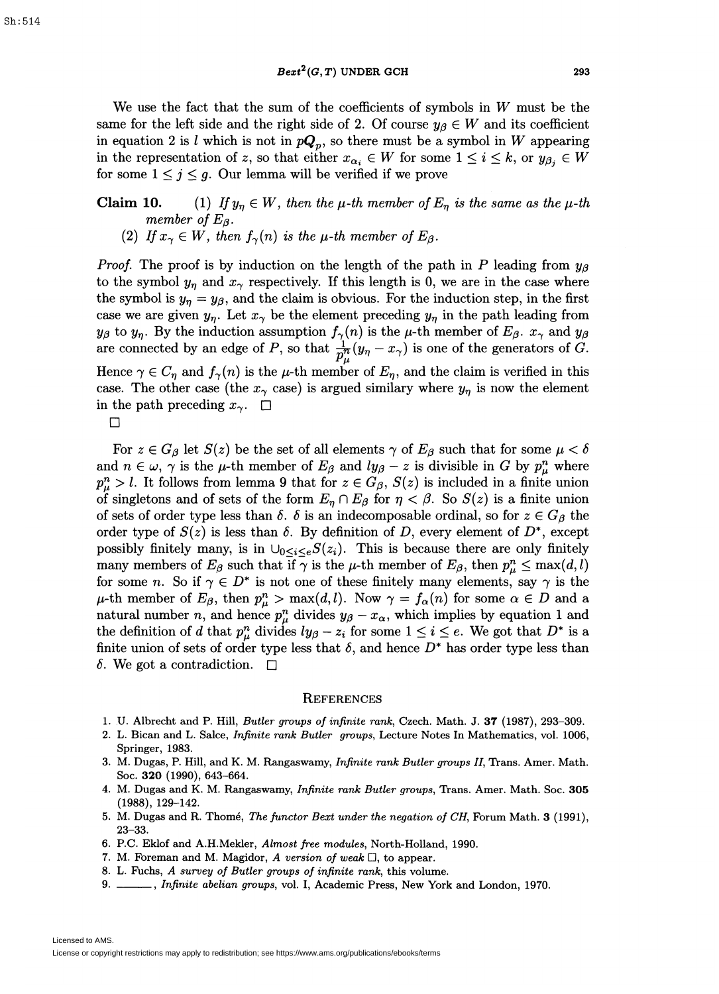We use the fact that the sum of the coefficients of symbols in *W* must be the same for the left side and the right side of 2. Of course  $y_{\beta} \in W$  and its coefficient in equation 2 is *l* which is not in  $pQ_p$ , so there must be a symbol in *W* appearing in the representation of *z*, so that either  $x_{\alpha_i} \in W$  for some  $1 \leq i \leq k$ , or  $y_{\beta_i} \in W$ for some  $1 \leq j \leq g$ . Our lemma will be verified if we prove

# **Claim 10.** (1) *If*  $y_\eta \in W$ , then the  $\mu$ -th member of  $E_\eta$  is the same as the  $\mu$ -th *member of*  $E_\beta$ *.*

(2) If  $x_{\gamma} \in W$ , then  $f_{\gamma}(n)$  is the  $\mu$ -th member of  $E_{\beta}$ .

*Proof.* The proof is by induction on the length of the path in *P* leading from  $y_{\beta}$ to the symbol  $y_n$  and  $x_\gamma$  respectively. If this length is 0, we are in the case where the symbol is  $y_n = y_\beta$ , and the claim is obvious. For the induction step, in the first case we are given  $y_{\eta}$ . Let  $x_{\gamma}$  be the element preceding  $y_{\eta}$  in the path leading from  $y_{\beta}$  to  $y_{\eta}$ . By the induction assumption  $f_{\gamma}(n)$  is the  $\mu$ -th member of  $E_{\beta}$ .  $x_{\gamma}$  and  $y_{\beta}$ are connected by an edge of *P*, so that  $\frac{1}{n^h}(y_n-x_i)$  is one of the generators of *G*. Hence  $\gamma \in C_{\eta}$  and  $f_{\gamma}(n)$  is the  $\mu$ -th member of  $E_{\eta}$ , and the claim is verified in this

case. The other case (the  $x_{\gamma}$  case) is argued similary where  $y_{\eta}$  is now the element in the path preceding  $x_{\gamma}$ .  $\Box$ 

 $\Box$ 

For  $z \in G_\beta$  let  $S(z)$  be the set of all elements  $\gamma$  of  $E_\beta$  such that for some  $\mu < \delta$ and  $n \in \omega$ ,  $\gamma$  is the  $\mu$ -th member of  $E_\beta$  and  $ly_\beta - z$  is divisible in *G* by  $p_\mu^n$  where  $p_{\mu}^{n} > l$ . It follows from lemma 9 that for  $z \in G_{\beta}$ ,  $S(z)$  is included in a finite union of singletons and of sets of the form  $E_{\eta} \cap E_{\beta}$  for  $\eta < \beta$ . So  $S(z)$  is a finite union of sets of order type less than  $\delta$ .  $\delta$  is an indecomposable ordinal, so for  $z \in G_\beta$  the order type of  $S(z)$  is less than  $\delta$ . By definition of *D*, every element of  $D^*$ , except possibly finitely many, is in  $\bigcup_{0 \leq i \leq e} S(z_i)$ . This is because there are only finitely many members of  $E_\beta$  such that if  $\gamma$  is the  $\mu$ -th member of  $E_\beta$ , then  $p_\mu^n \leq \max(d, l)$ for some *n*. So if  $\gamma \in D^*$  is not one of these finitely many elements, say  $\gamma$  is the  $\mu$ -th member of  $E_{\beta}$ , then  $p_{\mu}^{n} > \max(d, l)$ . Now  $\gamma = f_{\alpha}(n)$  for some  $\alpha \in D$  and a natural number *n*, and hence  $p_{\mu}^{n}$  divides  $y_{\beta} - x_{\alpha}$ , which implies by equation 1 and the definition of *d* that  $p_{\mu}^{n}$  divides  $ly_{\beta} - z_{i}$  for some  $1 \leq i \leq e$ . We got that  $D^*$  is a finite union of sets of order type less that  $\delta$ , and hence  $D^*$  has order type less than  $\delta$ . We got a contradiction.  $\square$ 

#### **REFERENCES**

- 1. .U. Albrecht and P. Hill, *Butler groups of infinite rank,* Czech. Math. J. 37 (1987), 293-309.
- 2. L. Bican and L. Salce, *Infinite rank Butler groups,* Lecture Notes In Mathematics, vol. 1006, Springer, 1983.
- 3. M. Dugas, P. Hill, and K. M. Rangaswamy, *Infinite rank Butler groups II*, Trans. Amer. Math. Soc. 320 (1990), 643-664.
- 4. M. Dugas and K. M. Rangaswamy, *Infinite rank Butler groups*, Trans. Amer. Math. Soc. 305 (1988), 129-142.
- 5. M. Dugas and R. Thome, *The functor Bext under the negation of CH,* Forum Math. 3 (1991), 23-33.
- 6. P.C. Eklof and A.H.Mekler, *Almost free modules,* North-Holland, 1990.
- 7. M. Foreman and M. Magidor, *A version of weak* D, to appear.
- 8. L. Fuchs, *A survey of Butler groups of infinite rank,* this volume.
- 9. \_\_\_\_, *Infinite abelian groups*, vol. I, Academic Press, New York and London, 1970.

Licensed to AMS.

License or copyright restrictions may apply to redistribution; see https://www.ams.org/publications/ebooks/terms